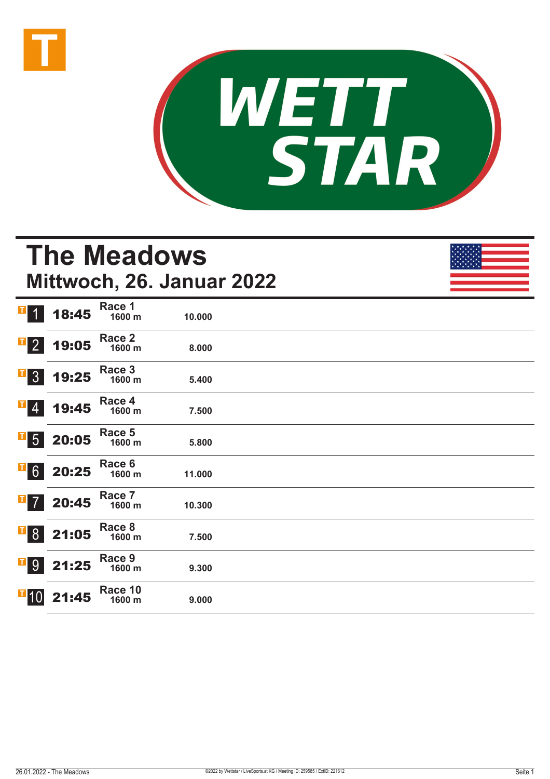



# **The Meadows Mittwoch, 26. Januar 2022**

| $\blacksquare$<br>$\blacklozenge$ | 18:45                                                                        | Race 1<br>1600 m  | 10.000 |  |
|-----------------------------------|------------------------------------------------------------------------------|-------------------|--------|--|
| $\mathbf{F}$ 2                    | 19:05                                                                        | Race 2<br>1600 m  | 8.000  |  |
| $\overline{1}$ 3                  | 19:25                                                                        | Race 3<br>1600 m  | 5.400  |  |
| $\mathbf{F}$ 4                    | 19:45                                                                        | Race 4<br>1600 m  | 7.500  |  |
| $\overline{\phantom{0}}$ 5        | 20:05                                                                        | Race 5<br>1600 m  | 5.800  |  |
|                                   | $\begin{array}{ c c } \hline \textbf{G} & \textbf{20:25} \hline \end{array}$ | Race 6<br>1600 m  | 11.000 |  |
| $\overline{1}$ 7                  | 20:45                                                                        | Race 7<br>1600 m  | 10.300 |  |
|                                   | <b>B</b> 8 21:05                                                             | Race 8<br>1600 m  | 7.500  |  |
|                                   | $\begin{array}{ c c }\n \hline\n \text{9} & 21:25\n \end{array}$             | Race 9<br>1600 m  | 9.300  |  |
| $\overline{1}$ 10                 | 21:45                                                                        | Race 10<br>1600 m | 9.000  |  |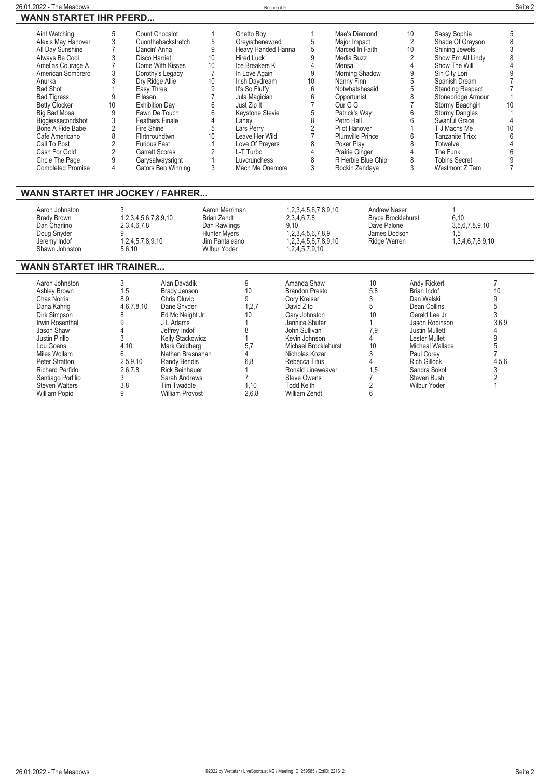| Aint Watching            |    | Count Chocalot         |    | Ghetto Boy         |    | Mae's Diamond           | 10 | Sassy Sophia          |    |
|--------------------------|----|------------------------|----|--------------------|----|-------------------------|----|-----------------------|----|
| Alexis May Hanover       |    | Cuonthebackstretch     |    | Grevisthenewred    |    | Major Impact            |    | Shade Of Gravson      |    |
| All Day Sunshine         |    | Dancin' Anna           | 9  | Heavy Handed Hanna |    | Marced In Faith         | 10 | Shining Jewels        |    |
| Always Be Cool           |    | Disco Harriet          | 10 | <b>Hired Luck</b>  |    | Media Buzz              |    | Show Em All Lindy     |    |
| Amelias Courage A        |    | Dome With Kisses       | 10 | Ice Breakers K     |    | Mensa                   |    | Show The Will         |    |
| American Sombrero        |    | Dorothy's Legacy       |    | In Love Again      |    | Morning Shadow          |    | Sin City Lori         |    |
| Anurka                   |    | Dry Ridge Allie        | 10 | Irish Daydream     | 10 | Nanny Finn              |    | Spanish Dream         |    |
| <b>Bad Shot</b>          |    | Easy Three             |    | It's So Fluffy     |    | Notwhatshesaid          |    | Standing Respect      |    |
| <b>Bad Tigress</b>       |    | Ellasen                |    | Jula Magician      |    | Opportunist             |    | Stonebridge Armour    |    |
| <b>Betty Clocker</b>     | 10 | <b>Exhibition Dav</b>  |    | Just Zip It        |    | Our G G                 |    | Stormy Beachgirl      | 10 |
| <b>Big Bad Mosa</b>      |    | Fawn De Touch          |    | Keystone Stevie    |    | Patrick's Wav           |    | <b>Stormy Dangles</b> |    |
| Biggiessecondshot        |    | <b>Feathers Finale</b> |    | Lanev              |    | Petro Hall              |    | Swanful Grace         |    |
| Bone A Fide Babe         |    | Fire Shine             |    | Lars Perry         |    | Pilot Hanover           |    | T J Machs Me          |    |
| Cafe Americano           |    | Flirtnroundtwn         | 10 | Leave Her Wild     |    | <b>Plumville Prince</b> |    | Tanzanite Trixx       |    |
| Call To Post             |    | <b>Furious Fast</b>    |    | Love Of Prayers    |    | Poker Play              |    | Tbtwelve              |    |
| Cash For Gold            |    | <b>Garrett Scores</b>  |    | L-T Turbo          |    | Prairie Ginger          |    | The Funk              |    |
| Circle The Page          |    | Garysalwaysright       |    | Luvcrunchess       |    | R Herbie Blue Chip      |    | <b>Tobins Secret</b>  |    |
| <b>Completed Promise</b> |    | Gators Ben Winning     |    | Mach Me Onemore    |    | Rockin Zendava          |    | Westmont Z Tam        |    |

## **WANN STARTET IHR JOCKEY / FAHRER...**

| Aaron Johnston<br>Brady Brown | 1,2,3,4,5,6,7,8,9,10 | Aaron Merriman<br>Brian Zendt       | 1.2.3.4.5.6.7.8.9.10<br>2,3,4,6,7,8 | Andrew Naser<br><b>Bryce Brocklehurst</b> | 6.10             |  |
|-------------------------------|----------------------|-------------------------------------|-------------------------------------|-------------------------------------------|------------------|--|
| Dan Charlino<br>Doug Snyder   | 2,3,4,6,7,8          | Dan Rawlings<br><b>Hunter Mvers</b> | 9.10<br>1.2.3.4.5.6.7.8.9           | Dave Palone<br>James Dodson               | 3,5,6,7,8,9,10   |  |
| Jeremy Indof                  | 1,2,4,5,7,8,9,10     | Jim Pantaleano                      | 1.2.3.4.5.6.7.8.9.10                | Ridge Warren                              | 1,3,4,6,7,8,9,10 |  |
| Shawn Johnston                | 5.6.10               | Wilbur Yoder                        | 1,2,4,5,7,9,10                      |                                           |                  |  |

## **WANN STARTET IHR TRAINER...**

| Aaron Johnston        |            | Alan Davadik            |         | Amanda Shaw           | 10  | Andy Rickert          |       |
|-----------------------|------------|-------------------------|---------|-----------------------|-----|-----------------------|-------|
| Ashley Brown          | 1,5        | Brady Jenson            | 10      | <b>Brandon Presto</b> | 5,8 | Brian Indof           | 10    |
| Chas Norris           | 8,9        | Chris Oluvic            |         | Cory Kreiser          |     | Dan Walski            |       |
| Dana Kahrig           | 4,6,7,8,10 | Dane Snyder             | 1, 2, 7 | David Zito            |     | Dean Collins          |       |
| Dirk Simpson          |            | Ed Mc Neight Jr         | 10      | Gary Johnston         | 10  | Gerald Lee Jr         |       |
| Irwin Rosenthal       |            | J L Adams               |         | Jannice Shuter        |     | Jason Robinson        | 3,6,9 |
| Jason Shaw            |            | Jeffrey Indof           |         | John Sullivan         | 7,9 | <b>Justin Mullett</b> |       |
| Justin Pirillo        |            | <b>Kelly Stackowicz</b> |         | Kevin Johnson         |     | Lester Mullet         |       |
| Lou Goans             | 4,10       | Mark Goldberg           | 5,7     | Michael Brocklehurst  | 10  | Micheal Wallace       |       |
| Miles Wollam          |            | Nathan Bresnahan        |         | Nicholas Kozar        |     | Paul Corey            |       |
| Peter Stratton        | 2,5,9,10   | Randy Bendis            | 6,8     | Rebecca Titus         |     | <b>Rich Gillock</b>   | 4,5,6 |
| Richard Perfido       | 2.6.7.8    | <b>Rick Beinhauer</b>   |         | Ronald Lineweaver     | 1.5 | Sandra Sokol          |       |
| Santiago Porfilio     |            | Sarah Andrews           |         | Steve Owens           |     | Steven Bush           |       |
| <b>Steven Walters</b> | 3,8        | Tim Twaddle             | 1.10    | <b>Todd Keith</b>     |     | Wilbur Yoder          |       |
| <b>William Popio</b>  |            | <b>William Provost</b>  | 2,6,8   | <b>William Zendt</b>  |     |                       |       |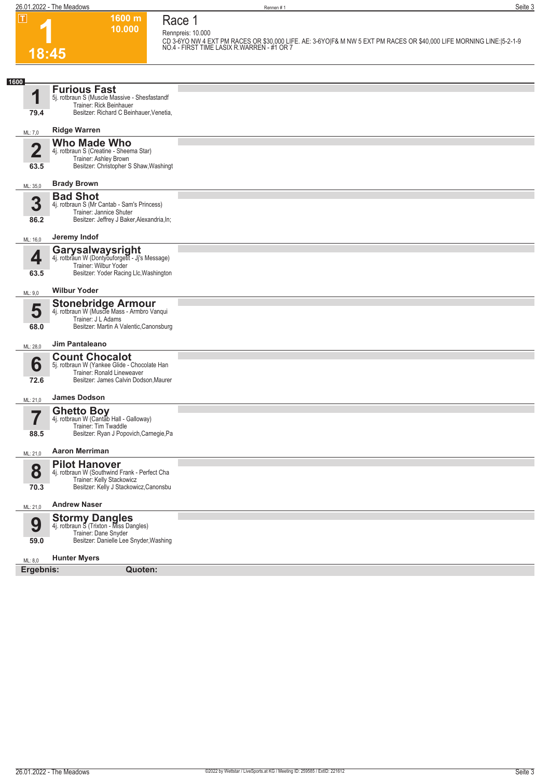**10.000 Race 1 Rennpreis: 10.000**

**1600 m**

**1 18:45**

**CD 3-6YO NW 4 EXT PM RACES OR \$30,000 LIFE. AE: 3-6YO|F& M NW 5 EXT PM RACES OR \$40,000 LIFE MORNING LINE:|5-2-1-9 NO.4 - FIRST TIME LASIX R.WARREN - #1 OR 7** 

| <b>Furious Fast</b><br>4<br>5j. rotbraun S (Muscle Massive - Shesfastandf<br>Trainer: Rick Beinhauer<br>Besitzer: Richard C Beinhauer, Venetia,<br>79.4<br><b>Ridge Warren</b><br>ML: 7,0<br><b>Who Made Who</b><br>$\overline{\mathbf{2}}$<br>4j. rotbraun S (Creatine - Sheema Star)<br>Trainer: Ashley Brown<br>Besitzer: Christopher S Shaw, Washingt<br>63.5<br><b>Brady Brown</b><br>ML: 35,0<br><b>Bad Shot</b><br>3<br>4j. rotbraun S (Mr Cantab - Sam's Princess)<br>Trainer: Jannice Shuter<br>Besitzer: Jeffrey J Baker, Alexandria, In;<br>86.2<br>Jeremy Indof<br>ML: 16,0<br>Garysalwaysright<br>4<br>4j. rotbraun W (Dontyouforgetit - Jj's Message)<br>Trainer: Wilbur Yoder<br>Besitzer: Yoder Racing Llc, Washington<br>63.5<br><b>Wilbur Yoder</b><br>ML: 9,0<br><b>Stonebridge Armour</b><br>5<br>4j. rotbraun W (Muscle Mass - Armbro Vanqui<br>Trainer: J L Adams<br>Besitzer: Martin A Valentic, Canonsburg<br>68.0<br>Jim Pantaleano<br>ML: 28,0<br><b>Count Chocalot</b><br>6<br>5j. rotbraun W (Yankee Glide - Chocolate Han<br>Trainer: Ronald Lineweaver<br>Besitzer: James Calvin Dodson, Maurer<br>72.6<br><b>James Dodson</b><br>ML: 21,0<br><b>Ghetto Boy</b><br>7<br>4j. rotbraun W (Cantab Hall - Galloway)<br>Trainer: Tim Twaddle<br>Besitzer: Ryan J Popovich, Carnegie, Pa<br>88.5<br><b>Aaron Merriman</b><br>ML: 21,0<br><b>Pilot Hanover</b><br>8<br>4j. rotbraun W (Southwind Frank - Perfect Cha<br>Trainer: Kelly Stackowicz<br>Besitzer: Kelly J Stackowicz, Canonsbu<br>70.3<br><b>Andrew Naser</b><br>ML: 21,0<br><b>Stormy Dangles</b><br>4j. rotbraun S (Trixton - Miss Dangles)<br>9<br>Trainer: Dane Snyder<br>Besitzer: Danielle Lee Snyder, Washing<br>59.0<br><b>Hunter Myers</b><br>ML: 8,0<br>Ergebnis:<br>Quoten: | 1600 |  |
|----------------------------------------------------------------------------------------------------------------------------------------------------------------------------------------------------------------------------------------------------------------------------------------------------------------------------------------------------------------------------------------------------------------------------------------------------------------------------------------------------------------------------------------------------------------------------------------------------------------------------------------------------------------------------------------------------------------------------------------------------------------------------------------------------------------------------------------------------------------------------------------------------------------------------------------------------------------------------------------------------------------------------------------------------------------------------------------------------------------------------------------------------------------------------------------------------------------------------------------------------------------------------------------------------------------------------------------------------------------------------------------------------------------------------------------------------------------------------------------------------------------------------------------------------------------------------------------------------------------------------------------------------------------------------------------------------------------------------------------------------------------------------|------|--|
|                                                                                                                                                                                                                                                                                                                                                                                                                                                                                                                                                                                                                                                                                                                                                                                                                                                                                                                                                                                                                                                                                                                                                                                                                                                                                                                                                                                                                                                                                                                                                                                                                                                                                                                                                                            |      |  |
|                                                                                                                                                                                                                                                                                                                                                                                                                                                                                                                                                                                                                                                                                                                                                                                                                                                                                                                                                                                                                                                                                                                                                                                                                                                                                                                                                                                                                                                                                                                                                                                                                                                                                                                                                                            |      |  |
|                                                                                                                                                                                                                                                                                                                                                                                                                                                                                                                                                                                                                                                                                                                                                                                                                                                                                                                                                                                                                                                                                                                                                                                                                                                                                                                                                                                                                                                                                                                                                                                                                                                                                                                                                                            |      |  |
|                                                                                                                                                                                                                                                                                                                                                                                                                                                                                                                                                                                                                                                                                                                                                                                                                                                                                                                                                                                                                                                                                                                                                                                                                                                                                                                                                                                                                                                                                                                                                                                                                                                                                                                                                                            |      |  |
|                                                                                                                                                                                                                                                                                                                                                                                                                                                                                                                                                                                                                                                                                                                                                                                                                                                                                                                                                                                                                                                                                                                                                                                                                                                                                                                                                                                                                                                                                                                                                                                                                                                                                                                                                                            |      |  |
|                                                                                                                                                                                                                                                                                                                                                                                                                                                                                                                                                                                                                                                                                                                                                                                                                                                                                                                                                                                                                                                                                                                                                                                                                                                                                                                                                                                                                                                                                                                                                                                                                                                                                                                                                                            |      |  |
|                                                                                                                                                                                                                                                                                                                                                                                                                                                                                                                                                                                                                                                                                                                                                                                                                                                                                                                                                                                                                                                                                                                                                                                                                                                                                                                                                                                                                                                                                                                                                                                                                                                                                                                                                                            |      |  |
|                                                                                                                                                                                                                                                                                                                                                                                                                                                                                                                                                                                                                                                                                                                                                                                                                                                                                                                                                                                                                                                                                                                                                                                                                                                                                                                                                                                                                                                                                                                                                                                                                                                                                                                                                                            |      |  |
|                                                                                                                                                                                                                                                                                                                                                                                                                                                                                                                                                                                                                                                                                                                                                                                                                                                                                                                                                                                                                                                                                                                                                                                                                                                                                                                                                                                                                                                                                                                                                                                                                                                                                                                                                                            |      |  |
|                                                                                                                                                                                                                                                                                                                                                                                                                                                                                                                                                                                                                                                                                                                                                                                                                                                                                                                                                                                                                                                                                                                                                                                                                                                                                                                                                                                                                                                                                                                                                                                                                                                                                                                                                                            |      |  |
|                                                                                                                                                                                                                                                                                                                                                                                                                                                                                                                                                                                                                                                                                                                                                                                                                                                                                                                                                                                                                                                                                                                                                                                                                                                                                                                                                                                                                                                                                                                                                                                                                                                                                                                                                                            |      |  |
|                                                                                                                                                                                                                                                                                                                                                                                                                                                                                                                                                                                                                                                                                                                                                                                                                                                                                                                                                                                                                                                                                                                                                                                                                                                                                                                                                                                                                                                                                                                                                                                                                                                                                                                                                                            |      |  |
|                                                                                                                                                                                                                                                                                                                                                                                                                                                                                                                                                                                                                                                                                                                                                                                                                                                                                                                                                                                                                                                                                                                                                                                                                                                                                                                                                                                                                                                                                                                                                                                                                                                                                                                                                                            |      |  |
|                                                                                                                                                                                                                                                                                                                                                                                                                                                                                                                                                                                                                                                                                                                                                                                                                                                                                                                                                                                                                                                                                                                                                                                                                                                                                                                                                                                                                                                                                                                                                                                                                                                                                                                                                                            |      |  |
|                                                                                                                                                                                                                                                                                                                                                                                                                                                                                                                                                                                                                                                                                                                                                                                                                                                                                                                                                                                                                                                                                                                                                                                                                                                                                                                                                                                                                                                                                                                                                                                                                                                                                                                                                                            |      |  |
|                                                                                                                                                                                                                                                                                                                                                                                                                                                                                                                                                                                                                                                                                                                                                                                                                                                                                                                                                                                                                                                                                                                                                                                                                                                                                                                                                                                                                                                                                                                                                                                                                                                                                                                                                                            |      |  |
|                                                                                                                                                                                                                                                                                                                                                                                                                                                                                                                                                                                                                                                                                                                                                                                                                                                                                                                                                                                                                                                                                                                                                                                                                                                                                                                                                                                                                                                                                                                                                                                                                                                                                                                                                                            |      |  |
|                                                                                                                                                                                                                                                                                                                                                                                                                                                                                                                                                                                                                                                                                                                                                                                                                                                                                                                                                                                                                                                                                                                                                                                                                                                                                                                                                                                                                                                                                                                                                                                                                                                                                                                                                                            |      |  |
|                                                                                                                                                                                                                                                                                                                                                                                                                                                                                                                                                                                                                                                                                                                                                                                                                                                                                                                                                                                                                                                                                                                                                                                                                                                                                                                                                                                                                                                                                                                                                                                                                                                                                                                                                                            |      |  |
|                                                                                                                                                                                                                                                                                                                                                                                                                                                                                                                                                                                                                                                                                                                                                                                                                                                                                                                                                                                                                                                                                                                                                                                                                                                                                                                                                                                                                                                                                                                                                                                                                                                                                                                                                                            |      |  |
|                                                                                                                                                                                                                                                                                                                                                                                                                                                                                                                                                                                                                                                                                                                                                                                                                                                                                                                                                                                                                                                                                                                                                                                                                                                                                                                                                                                                                                                                                                                                                                                                                                                                                                                                                                            |      |  |
|                                                                                                                                                                                                                                                                                                                                                                                                                                                                                                                                                                                                                                                                                                                                                                                                                                                                                                                                                                                                                                                                                                                                                                                                                                                                                                                                                                                                                                                                                                                                                                                                                                                                                                                                                                            |      |  |
|                                                                                                                                                                                                                                                                                                                                                                                                                                                                                                                                                                                                                                                                                                                                                                                                                                                                                                                                                                                                                                                                                                                                                                                                                                                                                                                                                                                                                                                                                                                                                                                                                                                                                                                                                                            |      |  |
|                                                                                                                                                                                                                                                                                                                                                                                                                                                                                                                                                                                                                                                                                                                                                                                                                                                                                                                                                                                                                                                                                                                                                                                                                                                                                                                                                                                                                                                                                                                                                                                                                                                                                                                                                                            |      |  |
|                                                                                                                                                                                                                                                                                                                                                                                                                                                                                                                                                                                                                                                                                                                                                                                                                                                                                                                                                                                                                                                                                                                                                                                                                                                                                                                                                                                                                                                                                                                                                                                                                                                                                                                                                                            |      |  |
|                                                                                                                                                                                                                                                                                                                                                                                                                                                                                                                                                                                                                                                                                                                                                                                                                                                                                                                                                                                                                                                                                                                                                                                                                                                                                                                                                                                                                                                                                                                                                                                                                                                                                                                                                                            |      |  |
|                                                                                                                                                                                                                                                                                                                                                                                                                                                                                                                                                                                                                                                                                                                                                                                                                                                                                                                                                                                                                                                                                                                                                                                                                                                                                                                                                                                                                                                                                                                                                                                                                                                                                                                                                                            |      |  |
|                                                                                                                                                                                                                                                                                                                                                                                                                                                                                                                                                                                                                                                                                                                                                                                                                                                                                                                                                                                                                                                                                                                                                                                                                                                                                                                                                                                                                                                                                                                                                                                                                                                                                                                                                                            |      |  |
|                                                                                                                                                                                                                                                                                                                                                                                                                                                                                                                                                                                                                                                                                                                                                                                                                                                                                                                                                                                                                                                                                                                                                                                                                                                                                                                                                                                                                                                                                                                                                                                                                                                                                                                                                                            |      |  |
|                                                                                                                                                                                                                                                                                                                                                                                                                                                                                                                                                                                                                                                                                                                                                                                                                                                                                                                                                                                                                                                                                                                                                                                                                                                                                                                                                                                                                                                                                                                                                                                                                                                                                                                                                                            |      |  |
|                                                                                                                                                                                                                                                                                                                                                                                                                                                                                                                                                                                                                                                                                                                                                                                                                                                                                                                                                                                                                                                                                                                                                                                                                                                                                                                                                                                                                                                                                                                                                                                                                                                                                                                                                                            |      |  |
|                                                                                                                                                                                                                                                                                                                                                                                                                                                                                                                                                                                                                                                                                                                                                                                                                                                                                                                                                                                                                                                                                                                                                                                                                                                                                                                                                                                                                                                                                                                                                                                                                                                                                                                                                                            |      |  |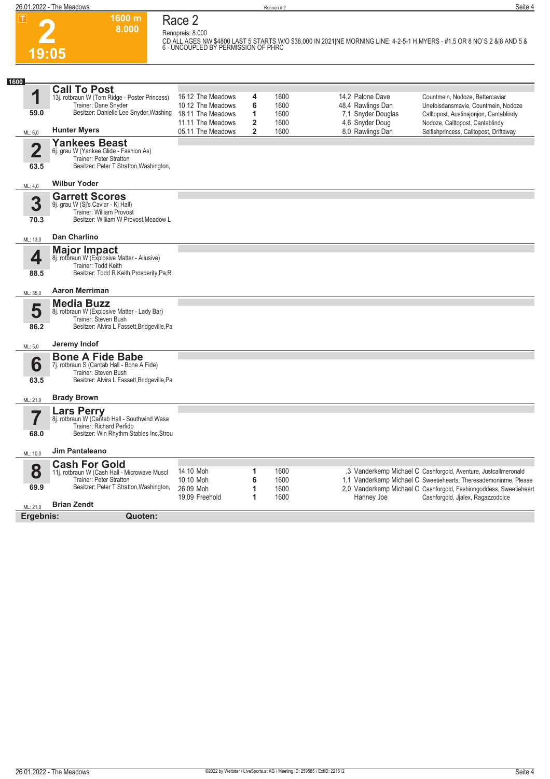

## **Race 2 Rennpreis: 8.000**

**1600 m 8.000** 

**CD ALL AGES NW \$4800 LAST 5 STARTS W/O \$38,000 IN 2021|NE MORNING LINE: 4-2-5-1 H.MYERS - #1,5 OR 8 NO`S 2 &|8 AND 5 & 6 - UNCOUPLED BY PERMISSION OF PHRC** 

| 1600                            |                                                                                                                                                                  |                                                                                  |                               |                              |                                                                                |                                                                                                                                                                                                                                                |
|---------------------------------|------------------------------------------------------------------------------------------------------------------------------------------------------------------|----------------------------------------------------------------------------------|-------------------------------|------------------------------|--------------------------------------------------------------------------------|------------------------------------------------------------------------------------------------------------------------------------------------------------------------------------------------------------------------------------------------|
| 1<br>59.0                       | <b>Call To Post</b><br>13j. rotbraun W (Tom Ridge - Poster Princess)<br>Trainer: Dane Snyder<br>Besitzer: Danielle Lee Snyder, Washing                           | 16.12 The Meadows<br>10.12 The Meadows<br>18.11 The Meadows<br>11.11 The Meadows | 4<br>6<br>1<br>$\overline{2}$ | 1600<br>1600<br>1600<br>1600 | 14.2 Palone Dave<br>48,4 Rawlings Dan<br>7,1 Snyder Douglas<br>4,6 Snyder Doug | Countmein, Nodoze, Bettercaviar<br>Unefoisdansmavie, Countmein, Nodoze<br>Calltopost, Austinsjonjon, Cantablindy<br>Nodoze, Calltopost, Cantablindy                                                                                            |
| ML: 6,0                         | <b>Hunter Myers</b>                                                                                                                                              | 05.11 The Meadows                                                                | $\mathbf{2}$                  | 1600                         | 8,0 Rawlings Dan                                                               | Selfishprincess, Calltopost, Driftaway                                                                                                                                                                                                         |
| $\overline{\mathbf{2}}$<br>63.5 | <b>Yankees Beast</b><br>6j. grau W (Yankee Glide - Fashion As)<br>Trainer: Peter Stratton<br>Besitzer: Peter T Stratton, Washington,                             |                                                                                  |                               |                              |                                                                                |                                                                                                                                                                                                                                                |
| ML: 4,0                         | <b>Wilbur Yoder</b>                                                                                                                                              |                                                                                  |                               |                              |                                                                                |                                                                                                                                                                                                                                                |
| 3<br>70.3                       | <b>Garrett Scores</b><br>9j. grau W (Sj's Caviar - Kj Hall)<br>Trainer: William Provost<br>Besitzer: William W Provost.Meadow L                                  |                                                                                  |                               |                              |                                                                                |                                                                                                                                                                                                                                                |
| ML: 13,0                        | <b>Dan Charlino</b>                                                                                                                                              |                                                                                  |                               |                              |                                                                                |                                                                                                                                                                                                                                                |
| 4                               | <b>Major Impact</b><br>8j. rotbraun W (Explosive Matter - Allusive)<br>Trainer: Todd Keith<br>Besitzer: Todd R Keith, Prosperity, Pa; R                          |                                                                                  |                               |                              |                                                                                |                                                                                                                                                                                                                                                |
| 88.5                            | <b>Aaron Merriman</b>                                                                                                                                            |                                                                                  |                               |                              |                                                                                |                                                                                                                                                                                                                                                |
| ML: 35,0                        |                                                                                                                                                                  |                                                                                  |                               |                              |                                                                                |                                                                                                                                                                                                                                                |
| 5                               | <b>Media Buzz</b><br>8j. rotbraun W (Explosive Matter - Lady Bar)<br>Trainer: Steven Bush                                                                        |                                                                                  |                               |                              |                                                                                |                                                                                                                                                                                                                                                |
| 86.2                            | Besitzer: Alvira L Fassett, Bridgeville, Pa                                                                                                                      |                                                                                  |                               |                              |                                                                                |                                                                                                                                                                                                                                                |
| ML: 5,0                         | Jeremy Indof                                                                                                                                                     |                                                                                  |                               |                              |                                                                                |                                                                                                                                                                                                                                                |
| 6<br>63.5                       | <b>Bone A Fide Babe</b><br>7j. rotbraun S (Cantab Hall - Bone A Fide)<br>Trainer: Steven Bush<br>Besitzer: Alvira L Fassett, Bridgeville, Pa                     |                                                                                  |                               |                              |                                                                                |                                                                                                                                                                                                                                                |
| ML: 21,0                        | <b>Brady Brown</b>                                                                                                                                               |                                                                                  |                               |                              |                                                                                |                                                                                                                                                                                                                                                |
| $\overline{\mathbf{7}}$<br>68.0 | <b>Lars Perry</b><br>8j. rotbraun W (Cantab Hall - Southwind Wasa<br>Trainer: Richard Perfido<br>Besitzer: Win Rhythm Stables Inc, Strou                         |                                                                                  |                               |                              |                                                                                |                                                                                                                                                                                                                                                |
| ML: 10,0                        | <b>Jim Pantaleano</b>                                                                                                                                            |                                                                                  |                               |                              |                                                                                |                                                                                                                                                                                                                                                |
| 8<br>69.9                       | <b>Cash For Gold</b><br>11j. rotbraun W (Cash Hall - Microwave Muscl<br>Trainer: Peter Stratton<br>Besitzer: Peter T Stratton, Washington,<br><b>Brian Zendt</b> | 14.10 Moh<br>10.10 Moh<br>26.09 Moh<br>19.09 Freehold                            | 1<br>6<br>1<br>1              | 1600<br>1600<br>1600<br>1600 | Hanney Joe                                                                     | ,3 Vanderkemp Michael C Cashforgold, Aventure, Justcallmeronald<br>1,1 Vanderkemp Michael C Sweetiehearts, Theresademoninme, Please<br>2,0 Vanderkemp Michael C Cashforgold, Fashiongoddess, Sweetieheart<br>Cashforgold, Jjalex, Ragazzodolce |
| ML: 21,0<br>Ergebnis:           | Quoten:                                                                                                                                                          |                                                                                  |                               |                              |                                                                                |                                                                                                                                                                                                                                                |
|                                 |                                                                                                                                                                  |                                                                                  |                               |                              |                                                                                |                                                                                                                                                                                                                                                |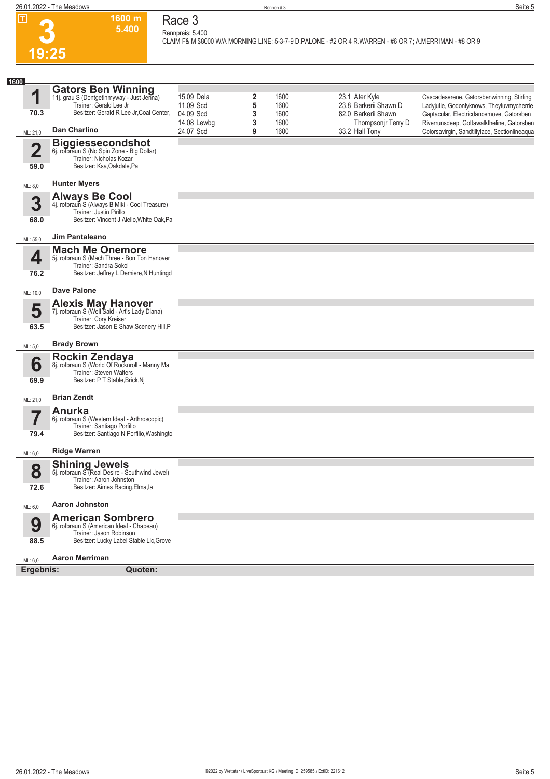## **Race 3**

**Rennpreis: 5.400**

**1600 m 5.400** 

**CLAIM F& M \$8000 W/A MORNING LINE: 5-3-7-9 D.PALONE -|#2 OR 4 R.WARREN - #6 OR 7; A.MERRIMAN - #8 OR 9** 

| 1600                            |                                                                                                                                                |                          |        |              |                                           |                                                                                        |
|---------------------------------|------------------------------------------------------------------------------------------------------------------------------------------------|--------------------------|--------|--------------|-------------------------------------------|----------------------------------------------------------------------------------------|
| 1                               | Gators Ben Winning<br>11j. grau S (Dontgetinmyway - Just Jenna)<br>Trainer: Gerald Lee Jr                                                      | 15.09 Dela<br>11.09 Scd  | 2<br>5 | 1600<br>1600 | 23,1 Ater Kyle<br>23.8 Barkerii Shawn D   | Cascadeserene, Gatorsbenwinning, Stirling<br>Ladyjulie, Godonlyknows, Theyluvmycherrie |
| 70.3                            | Besitzer: Gerald R Lee Jr, Coal Center,                                                                                                        | 04.09 Scd<br>14.08 Lewbg | 3<br>3 | 1600<br>1600 | 82,0 Barkerii Shawn<br>Thompsonjr Terry D | Gaptacular, Electricdancemove, Gatorsben<br>Riverrunsdeep, Gottawalktheline, Gatorsben |
| ML: 21,0                        | Dan Charlino                                                                                                                                   | 24.07 Scd                | 9      | 1600         | 33,2 Hall Tony                            | Colorsavirgin, Sandtillylace, Sectionlineaqua                                          |
| $\overline{\mathbf{2}}$<br>59.0 | <b>Biggiessecondshot</b><br>6j. rotbraun S (No Spin Zone - Big Dollar)<br>Trainer: Nicholas Kozar<br>Besitzer: Ksa, Oakdale, Pa                |                          |        |              |                                           |                                                                                        |
| ML: 8,0                         | <b>Hunter Myers</b>                                                                                                                            |                          |        |              |                                           |                                                                                        |
| 3<br>68.0                       | Always Be Cool<br>4j. rotbraun S (Always B Miki - Cool Treasure)<br>Trainer: Justin Pirillo<br>Besitzer: Vincent J Aiello, White Oak, Pa       |                          |        |              |                                           |                                                                                        |
| ML: 55,0                        | Jim Pantaleano                                                                                                                                 |                          |        |              |                                           |                                                                                        |
| 4<br>76.2                       | <b>Mach Me Onemore</b><br>5j. rotbraun S (Mach Three - Bon Ton Hanover<br>Trainer: Sandra Sokol<br>Besitzer: Jeffrey L Demiere, N Huntingd     |                          |        |              |                                           |                                                                                        |
| ML: 10,0                        | <b>Dave Palone</b>                                                                                                                             |                          |        |              |                                           |                                                                                        |
| 5<br>63.5                       | <b>Alexis May Hanover</b><br>7j. rotbraun S (Well Said - Art's Lady Diana)<br>Trainer: Cory Kreiser<br>Besitzer: Jason E Shaw, Scenery Hill, P |                          |        |              |                                           |                                                                                        |
| ML: 5,0                         | <b>Brady Brown</b>                                                                                                                             |                          |        |              |                                           |                                                                                        |
| 6<br>69.9                       | Rockin Zendaya<br>8j. rotbraun S (World Of Rocknroll - Manny Ma<br>Trainer: Steven Walters<br>Besitzer: P T Stable, Brick, Nj                  |                          |        |              |                                           |                                                                                        |
| ML: 21,0                        | <b>Brian Zendt</b>                                                                                                                             |                          |        |              |                                           |                                                                                        |
| 7<br>79.4                       | Anurka<br>6j. rotbraun S (Western Ideal - Arthroscopic)<br>Trainer: Santiago Porfilio<br>Besitzer: Santiago N Porfilio, Washingto              |                          |        |              |                                           |                                                                                        |
| ML: 6,0                         | <b>Ridge Warren</b>                                                                                                                            |                          |        |              |                                           |                                                                                        |
| 8<br>72.6                       | <b>Shining Jewels</b><br>5j. rotbraun S (Real Desire - Southwind Jewel)<br>Trainer: Aaron Johnston<br>Besitzer: Aimes Racing, Elma, la         |                          |        |              |                                           |                                                                                        |
| ML: 6,0                         | <b>Aaron Johnston</b>                                                                                                                          |                          |        |              |                                           |                                                                                        |
| 9<br>88.5                       | <b>American Sombrero</b><br>6j. rotbraun S (American Ideal - Chapeau)<br>Trainer: Jason Robinson<br>Besitzer: Lucky Label Stable Llc, Grove    |                          |        |              |                                           |                                                                                        |
| ML: 6,0                         | <b>Aaron Merriman</b>                                                                                                                          |                          |        |              |                                           |                                                                                        |
| Ergebnis:                       | Quoten:                                                                                                                                        |                          |        |              |                                           |                                                                                        |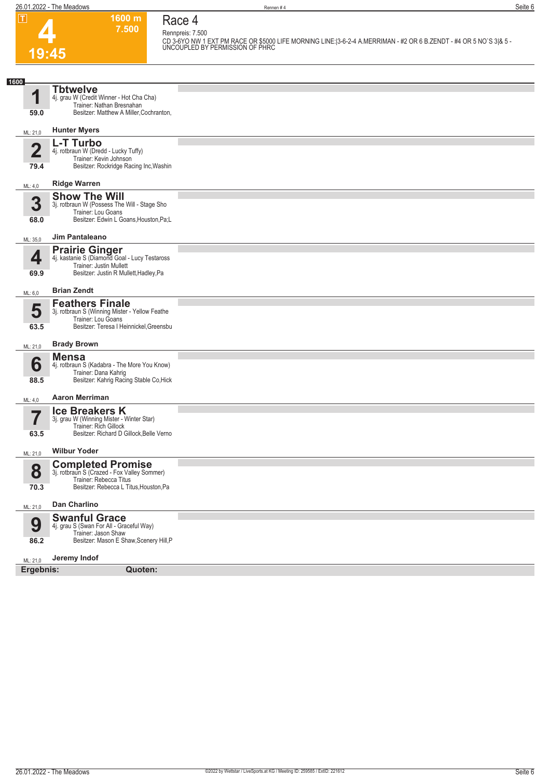## **4 19:45**

**Race 4 Rennpreis: 7.500**

**1600 m 7.500** 

**CD 3-6YO NW 1 EXT PM RACE OR \$5000 LIFE MORNING LINE:|3-6-2-4 A.MERRIMAN - #2 OR 6 B.ZENDT - #4 OR 5 NO`S 3|& 5 - UNCOUPLED BY PERMISSION OF PHRC** 

| 1600      |                                                                        |  |
|-----------|------------------------------------------------------------------------|--|
| и         | <b>Thtwelve</b>                                                        |  |
|           | 4j. grau W (Credit Winner - Hot Cha Cha)                               |  |
| 59.0      | Trainer: Nathan Bresnahan<br>Besitzer: Matthew A Miller, Cochranton,   |  |
|           |                                                                        |  |
| ML: 21,0  | <b>Hunter Myers</b>                                                    |  |
|           |                                                                        |  |
| Ø<br>◢    | L-T Turbo<br>4j. rotbraun W (Dredd - Lucky Tuffy)                      |  |
|           | Trainer: Kevin Johnson                                                 |  |
| 79.4      | Besitzer: Rockridge Racing Inc, Washin                                 |  |
|           |                                                                        |  |
| ML: 4,0   | <b>Ridge Warren</b>                                                    |  |
|           | <b>Show The Will</b>                                                   |  |
| 3         | 3j. rotbraun W (Possess The Will - Stage Sho<br>Trainer: Lou Goans     |  |
| 68.0      | Besitzer: Edwin L Goans, Houston, Pa; L                                |  |
|           |                                                                        |  |
| ML: 35,0  | Jim Pantaleano                                                         |  |
|           |                                                                        |  |
| 4         | <b>Prairie Ginger</b><br>4j. kastanie S (Diamond Goal - Lucy Testaross |  |
|           | Trainer: Justin Mullett<br>Besitzer: Justin R Mullett, Hadley, Pa      |  |
| 69.9      |                                                                        |  |
| ML: 6,0   | <b>Brian Zendt</b>                                                     |  |
|           | <b>Feathers Finale</b>                                                 |  |
| 5         | 3j. rotbraun S (Winning Mister - Yellow Feathe                         |  |
|           | Trainer: Lou Goans                                                     |  |
| 63.5      | Besitzer: Teresa I Heinnickel, Greensbu                                |  |
|           | <b>Brady Brown</b>                                                     |  |
| ML: 21,0  |                                                                        |  |
| 6         | <b>Mensa</b><br>4j. rotbraun S (Kadabra - The More You Know)           |  |
|           | Trainer: Dana Kahrig                                                   |  |
| 88.5      | Besitzer: Kahrig Racing Stable Co, Hick                                |  |
|           | <b>Aaron Merriman</b>                                                  |  |
| ML: 4,0   |                                                                        |  |
|           | <b>Ice Breakers K</b>                                                  |  |
|           | 3j. grau W (Winning Mister - Winter Star)<br>Trainer: Rich Gillock     |  |
| 63.5      | Besitzer: Richard D Gillock, Belle Verno                               |  |
|           |                                                                        |  |
| ML: 21,0  | <b>Wilbur Yoder</b>                                                    |  |
|           | <b>Completed Promise</b>                                               |  |
| 8         | 3j. rotbraun S (Crazed - Fox Valley Sommer)<br>Trainer: Rebecca Titus  |  |
| 70.3      | Besitzer: Rebecca L Titus, Houston, Pa                                 |  |
|           |                                                                        |  |
| ML: 21,0  | Dan Charlino                                                           |  |
|           | <b>Swanful Grace</b>                                                   |  |
| 9         | 4j. grau S (Swan For All - Graceful Way)                               |  |
| 86.2      | Trainer: Jason Shaw<br>Besitzer: Mason E Shaw, Scenery Hill, P         |  |
|           |                                                                        |  |
| ML: 21,0  | Jeremy Indof                                                           |  |
| Ergebnis: | Quoten:                                                                |  |
|           |                                                                        |  |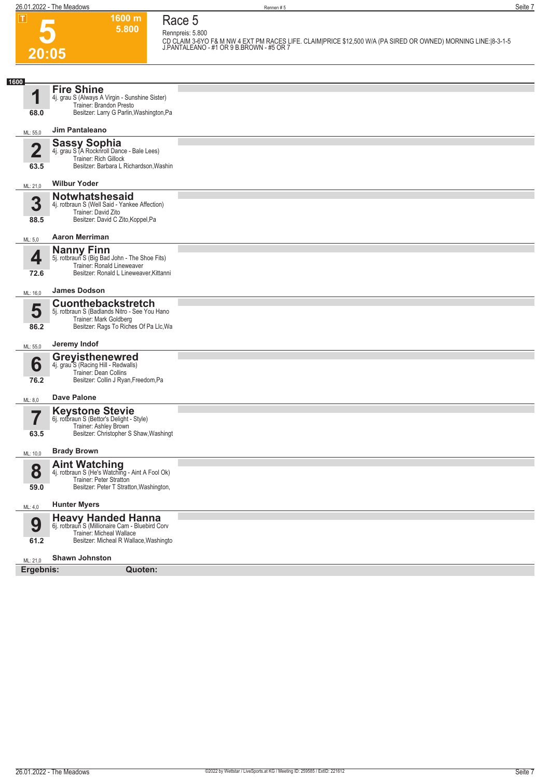**5**

**Race 5**

**5.800 Rennpreis: 5.800 CD CLAIM 3-6YO F& M NW 4 EXT PM RACES LIFE. CLAIM|PRICE \$12,500 W/A (PA SIRED OR OWNED) MORNING LINE:|8-3-1-5 J.PANTALEANO - #1 OR 9 B.BROWN - #5 OR 7** 

**1600 m**

| 20:05                           |                                                                                                                                                    | J.PANTALEANO - #TUR 9 B.BROWN - #5 OR 7 |
|---------------------------------|----------------------------------------------------------------------------------------------------------------------------------------------------|-----------------------------------------|
|                                 |                                                                                                                                                    |                                         |
| 1600<br>1                       | <b>Fire Shine</b><br>4j. grau S (Always A Virgin - Sunshine Sister)<br>Trainer: Brandon Presto                                                     |                                         |
| 68.0                            | Besitzer: Larry G Parlin, Washington, Pa                                                                                                           |                                         |
| ML: 55,0                        | Jim Pantaleano                                                                                                                                     |                                         |
| $\overline{\mathbf{2}}$<br>63.5 | <b>Sassy Sophia</b><br>4j. grau S (A Rocknroll Dance - Bale Lees)<br>Trainer: Rich Gillock<br>Besitzer: Barbara L Richardson, Washin               |                                         |
|                                 | <b>Wilbur Yoder</b>                                                                                                                                |                                         |
| ML: 21,0                        | <b>Notwhatshesaid</b>                                                                                                                              |                                         |
| 3<br>88.5                       | 4j. rotbraun S (Well Said - Yankee Affection)<br>Trainer: David Zito<br>Besitzer: David C Zito, Koppel, Pa                                         |                                         |
| ML: 5,0                         | <b>Aaron Merriman</b>                                                                                                                              |                                         |
| 4<br>72.6                       | <b>Nanny Finn</b><br>5j. rotbraun S (Big Bad John - The Shoe Fits)<br>Trainer: Ronald Lineweaver<br>Besitzer: Ronald L Lineweaver, Kittanni        |                                         |
| ML: 16,0                        | <b>James Dodson</b>                                                                                                                                |                                         |
| 5<br>86.2                       | <b>Cuonthebackstretch</b><br>5j. rotbraun S (Badlands Nitro - See You Hano<br>Trainer: Mark Goldberg<br>Besitzer: Rags To Riches Of Pa Llc, Wa     |                                         |
| ML: 55,0                        | Jeremy Indof                                                                                                                                       |                                         |
| 6<br>76.2                       | <b>Greyisthenewred</b><br>4j. grau S (Racing Hill - Redwalls)<br>Trainer: Dean Collins<br>Besitzer: Collin J Ryan, Freedom, Pa                     |                                         |
| ML: 8,0                         | <b>Dave Palone</b>                                                                                                                                 |                                         |
| 7<br>63.5                       | <b>Keystone Stevie</b><br>6j. rotbraun S (Bettor's Delight - Style)<br>Trainer: Ashley Brown<br>Besitzer: Christopher S Shaw, Washingt             |                                         |
| ML: 10,0                        | <b>Brady Brown</b>                                                                                                                                 |                                         |
| 8<br>59.0                       | Aint Watching<br>4j. rotbraun S (He's Watching - Aint A Fool Ok)<br>Trainer: Peter Stratton<br>Besitzer: Peter T Stratton, Washington,             |                                         |
|                                 | <b>Hunter Myers</b>                                                                                                                                |                                         |
| ML: 4,0<br>9<br>61.2            | <b>Heavy Handed Hanna</b><br>6j. rotbraun S (Millionaire Cam - Bluebird Corv<br>Trainer: Micheal Wallace<br>Besitzer: Micheal R Wallace, Washingto |                                         |
| ML: 21,0                        | <b>Shawn Johnston</b>                                                                                                                              |                                         |
| Ergebnis:                       | Quoten:                                                                                                                                            |                                         |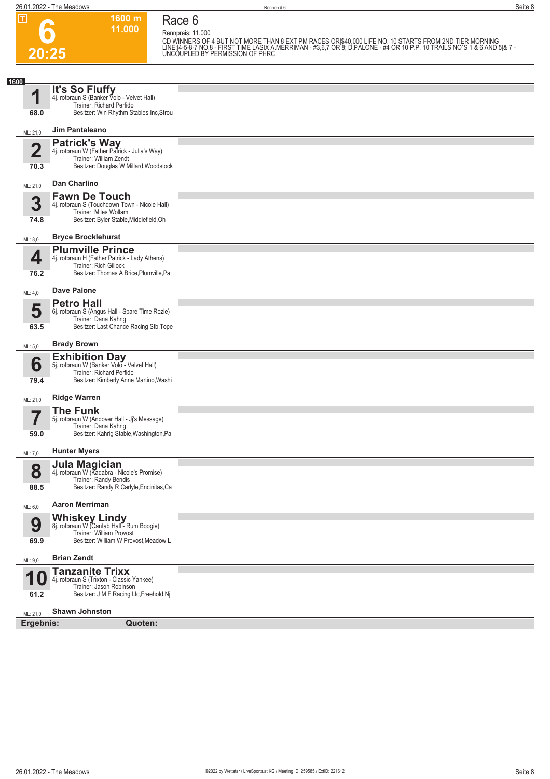#### **1600 m 11.000 Race 6**

**Rennpreis: 11.000**

**6 20:25**

CD WINNERS OF 4 BUT NOT MORE THAN 8 EXT PM RACES ORI\$40,000 LIFE NO. 10 STARTS FROM 2ND TIER MORNING<br>LINE:14-5-8-7 NO.8 - FIRST TIME LASIX A.MERRIMAN - #3,6,7 OR 8; D.PALONE - #4 OR 10 P.P. 10 TRAILS NO`S 1 & 6 AND 5|& 7 -

| 1600<br><b>It's So Fluffy</b><br>4j. rotbraun S (Banker Volo - Velvet Hall)<br>1<br>Trainer: Richard Perfido<br>Besitzer: Win Rhythm Stables Inc, Strou<br>68.0<br>Jim Pantaleano<br>ML: 21,0<br><b>Patrick's Way</b><br>$\overline{2}$<br>4j. rotbraun W (Father Patrick - Julia's Way)<br>Trainer: William Zendt<br>Besitzer: Douglas W Millard, Woodstock<br>70.3<br>Dan Charlino<br>ML: 21,0<br><b>Fawn De Touch</b><br>3<br>4j. rotbraun S (Touchdown Town - Nicole Hall)<br>Trainer: Miles Wollam<br>Besitzer: Byler Stable, Middlefield, Oh<br>74.8<br><b>Bryce Brocklehurst</b><br>ML: 8,0<br><b>Plumville Prince</b><br>4<br>4j. rotbraun H (Father Patrick - Lady Athens)<br>Trainer: Rich Gillock<br>Besitzer: Thomas A Brice, Plumville, Pa;<br>76.2<br><b>Dave Palone</b><br>ML: 4,0<br><b>Petro Hall</b><br>5<br>6j. rotbraun S (Angus Hall - Spare Time Rozie)<br>Trainer: Dana Kahrig<br>Besitzer: Last Chance Racing Stb, Tope<br>63.5<br><b>Brady Brown</b><br>ML: 5,0<br><b>Exhibition Day</b><br>5j. rotbraun W (Banker Volo - Velvet Hall)<br>6<br>Trainer: Richard Perfido<br>Besitzer: Kimberly Anne Martino, Washi<br>79.4<br><b>Ridge Warren</b><br>ML: 21,0<br><b>The Funk</b><br>7<br>5j. rotbraun W (Andover Hall - Jj's Message)<br>Trainer: Dana Kahrig<br>Besitzer: Kahrig Stable, Washington, Pa<br>59.0<br><b>Hunter Myers</b><br>ML: 7,0<br><b>Jula Magician</b><br>4j. rotbraun W (Kadabra - Nicole's Promise)<br>8<br>Trainer: Randy Bendis<br>Besitzer: Randy R Carlyle, Encinitas, Ca<br>88.5<br><b>Aaron Merriman</b><br>ML: 6,0 |  |  |
|-------------------------------------------------------------------------------------------------------------------------------------------------------------------------------------------------------------------------------------------------------------------------------------------------------------------------------------------------------------------------------------------------------------------------------------------------------------------------------------------------------------------------------------------------------------------------------------------------------------------------------------------------------------------------------------------------------------------------------------------------------------------------------------------------------------------------------------------------------------------------------------------------------------------------------------------------------------------------------------------------------------------------------------------------------------------------------------------------------------------------------------------------------------------------------------------------------------------------------------------------------------------------------------------------------------------------------------------------------------------------------------------------------------------------------------------------------------------------------------------------------------------------------------------------------------------------|--|--|
|                                                                                                                                                                                                                                                                                                                                                                                                                                                                                                                                                                                                                                                                                                                                                                                                                                                                                                                                                                                                                                                                                                                                                                                                                                                                                                                                                                                                                                                                                                                                                                         |  |  |
|                                                                                                                                                                                                                                                                                                                                                                                                                                                                                                                                                                                                                                                                                                                                                                                                                                                                                                                                                                                                                                                                                                                                                                                                                                                                                                                                                                                                                                                                                                                                                                         |  |  |
|                                                                                                                                                                                                                                                                                                                                                                                                                                                                                                                                                                                                                                                                                                                                                                                                                                                                                                                                                                                                                                                                                                                                                                                                                                                                                                                                                                                                                                                                                                                                                                         |  |  |
|                                                                                                                                                                                                                                                                                                                                                                                                                                                                                                                                                                                                                                                                                                                                                                                                                                                                                                                                                                                                                                                                                                                                                                                                                                                                                                                                                                                                                                                                                                                                                                         |  |  |
|                                                                                                                                                                                                                                                                                                                                                                                                                                                                                                                                                                                                                                                                                                                                                                                                                                                                                                                                                                                                                                                                                                                                                                                                                                                                                                                                                                                                                                                                                                                                                                         |  |  |
|                                                                                                                                                                                                                                                                                                                                                                                                                                                                                                                                                                                                                                                                                                                                                                                                                                                                                                                                                                                                                                                                                                                                                                                                                                                                                                                                                                                                                                                                                                                                                                         |  |  |
|                                                                                                                                                                                                                                                                                                                                                                                                                                                                                                                                                                                                                                                                                                                                                                                                                                                                                                                                                                                                                                                                                                                                                                                                                                                                                                                                                                                                                                                                                                                                                                         |  |  |
|                                                                                                                                                                                                                                                                                                                                                                                                                                                                                                                                                                                                                                                                                                                                                                                                                                                                                                                                                                                                                                                                                                                                                                                                                                                                                                                                                                                                                                                                                                                                                                         |  |  |
|                                                                                                                                                                                                                                                                                                                                                                                                                                                                                                                                                                                                                                                                                                                                                                                                                                                                                                                                                                                                                                                                                                                                                                                                                                                                                                                                                                                                                                                                                                                                                                         |  |  |
|                                                                                                                                                                                                                                                                                                                                                                                                                                                                                                                                                                                                                                                                                                                                                                                                                                                                                                                                                                                                                                                                                                                                                                                                                                                                                                                                                                                                                                                                                                                                                                         |  |  |
|                                                                                                                                                                                                                                                                                                                                                                                                                                                                                                                                                                                                                                                                                                                                                                                                                                                                                                                                                                                                                                                                                                                                                                                                                                                                                                                                                                                                                                                                                                                                                                         |  |  |
|                                                                                                                                                                                                                                                                                                                                                                                                                                                                                                                                                                                                                                                                                                                                                                                                                                                                                                                                                                                                                                                                                                                                                                                                                                                                                                                                                                                                                                                                                                                                                                         |  |  |
|                                                                                                                                                                                                                                                                                                                                                                                                                                                                                                                                                                                                                                                                                                                                                                                                                                                                                                                                                                                                                                                                                                                                                                                                                                                                                                                                                                                                                                                                                                                                                                         |  |  |
|                                                                                                                                                                                                                                                                                                                                                                                                                                                                                                                                                                                                                                                                                                                                                                                                                                                                                                                                                                                                                                                                                                                                                                                                                                                                                                                                                                                                                                                                                                                                                                         |  |  |
|                                                                                                                                                                                                                                                                                                                                                                                                                                                                                                                                                                                                                                                                                                                                                                                                                                                                                                                                                                                                                                                                                                                                                                                                                                                                                                                                                                                                                                                                                                                                                                         |  |  |
|                                                                                                                                                                                                                                                                                                                                                                                                                                                                                                                                                                                                                                                                                                                                                                                                                                                                                                                                                                                                                                                                                                                                                                                                                                                                                                                                                                                                                                                                                                                                                                         |  |  |
| Whiskey Lindy<br>8j. rotbraun W (Cantab Hall - Rum Boogie)<br>9<br>Trainer: William Provost<br>Besitzer: William W Provost, Meadow L<br>69.9                                                                                                                                                                                                                                                                                                                                                                                                                                                                                                                                                                                                                                                                                                                                                                                                                                                                                                                                                                                                                                                                                                                                                                                                                                                                                                                                                                                                                            |  |  |
| <b>Brian Zendt</b><br>ML: 9,0                                                                                                                                                                                                                                                                                                                                                                                                                                                                                                                                                                                                                                                                                                                                                                                                                                                                                                                                                                                                                                                                                                                                                                                                                                                                                                                                                                                                                                                                                                                                           |  |  |
| <b>Tanzanite Trixx</b><br>◀<br>4j. rotbraun S (Trixton - Classic Yankee)<br>Trainer: Jason Robinson<br>Besitzer: J M F Racing Llc, Freehold, Nj<br>61.2                                                                                                                                                                                                                                                                                                                                                                                                                                                                                                                                                                                                                                                                                                                                                                                                                                                                                                                                                                                                                                                                                                                                                                                                                                                                                                                                                                                                                 |  |  |
| <b>Shawn Johnston</b><br>ML: 21,0                                                                                                                                                                                                                                                                                                                                                                                                                                                                                                                                                                                                                                                                                                                                                                                                                                                                                                                                                                                                                                                                                                                                                                                                                                                                                                                                                                                                                                                                                                                                       |  |  |
| Ergebnis:<br>Quoten:                                                                                                                                                                                                                                                                                                                                                                                                                                                                                                                                                                                                                                                                                                                                                                                                                                                                                                                                                                                                                                                                                                                                                                                                                                                                                                                                                                                                                                                                                                                                                    |  |  |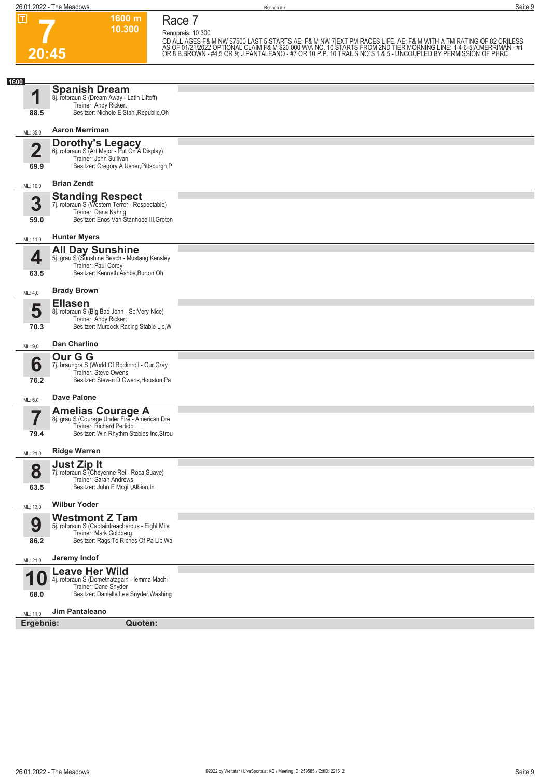**7 20:45** **Race 7**

**1600 m 10.300** 

**Rennpreis: 10.300**

CD ALL AGES F& M NW \$7500 LAST 5 STARTS AE: F& M NW 7[EXT PM RACES LIFE. AE: F& M WITH A TM RATING OF 82 ORILESS<br>AS OF 01/21/2022 OPTIONAL CLAIM F& M \$20,000 W/A NO. 10 STARTS FROM 2ND TIER MORNING LINE: 1-4-6-5|A.MERRIMAN

| 1600                            |                                                                                                                                             |  |
|---------------------------------|---------------------------------------------------------------------------------------------------------------------------------------------|--|
| 88.5                            | <b>Spanish Dream</b><br>8j. rotbraun S (Dream Away - Latin Liftoff)<br>Trainer: Andy Rickert<br>Besitzer: Nichole E Stahl, Republic, Oh     |  |
| ML: 35,0                        | <b>Aaron Merriman</b>                                                                                                                       |  |
|                                 | <b>Dorothy's Legacy</b><br>6j. rotbraun S (Art Major - Put On A Display)                                                                    |  |
| $\overline{\mathbf{2}}$<br>69.9 | Trainer: John Sullivan<br>Besitzer: Gregory A Usner, Pittsburgh, P                                                                          |  |
|                                 | <b>Brian Zendt</b>                                                                                                                          |  |
| ML: 10,0                        |                                                                                                                                             |  |
| 3<br>59.0                       | <b>Standing Respect</b><br>7j. rotbraun S (Western Terror - Respectable)<br>Trainer: Dana Kahrig<br>Besitzer: Enos Van Stanhope III, Groton |  |
| ML: 11,0                        | <b>Hunter Myers</b>                                                                                                                         |  |
|                                 | All Day Sunshine<br>5j. grau S (Sunshine Beach - Mustang Kensley                                                                            |  |
| 4                               | Trainer: Paul Corey<br>Besitzer: Kenneth Ashba, Burton, Oh                                                                                  |  |
| 63.5                            |                                                                                                                                             |  |
| ML: 4,0                         | <b>Brady Brown</b><br><b>Ellasen</b>                                                                                                        |  |
| 5                               | 8j. rotbraun S (Big Bad John - So Very Nice)<br>Trainer: Andy Rickert                                                                       |  |
| 70.3                            | Besitzer: Murdock Racing Stable Llc, W                                                                                                      |  |
| ML: 9,0                         | Dan Charlino                                                                                                                                |  |
| 6                               | Our G G<br>7j. braungra S (World Of Rocknroll - Our Gray                                                                                    |  |
| 76.2                            | Trainer: Steve Owens<br>Besitzer: Steven D Owens, Houston, Pa                                                                               |  |
| ML: 6,0                         | <b>Dave Palone</b>                                                                                                                          |  |
|                                 |                                                                                                                                             |  |
|                                 | <b>Amelias Courage A</b> 8j. grau S (Courage Under Fire - American Dre                                                                      |  |
| 79.4                            | Trainer: Richard Perfido<br>Besitzer: Win Rhythm Stables Inc, Strou                                                                         |  |
| ML: 21,0                        | <b>Ridge Warren</b>                                                                                                                         |  |
| 8                               | Just Zip It<br>7j. rotbraun S <sup>*</sup> (Cheyenne Rei - Roca Suave)                                                                      |  |
| 63.5                            | Trainer: Sarah Andrews<br>Besitzer: John E Mcgill, Albion, In                                                                               |  |
|                                 | <b>Wilbur Yoder</b>                                                                                                                         |  |
| ML: 13,0                        | <b>Westmont Z Tam</b>                                                                                                                       |  |
| 9                               | 5j. rotbraun S (Captaintreacherous - Eight Mile<br>Trainer: Mark Goldberg                                                                   |  |
| 86.2                            | Besitzer: Rags To Riches Of Pa Llc, Wa                                                                                                      |  |
| ML: 21,0                        | Jeremy Indof                                                                                                                                |  |
|                                 | <b>Leave Her Wild</b><br>4j. rotbraun S (Domethatagain - Iemma Machi                                                                        |  |
| 68.0                            | Trainer: Dane Snyder<br>Besitzer: Danielle Lee Snyder, Washing                                                                              |  |
| ML: 11,0                        | Jim Pantaleano                                                                                                                              |  |
| Ergebnis:                       | Quoten:                                                                                                                                     |  |
|                                 |                                                                                                                                             |  |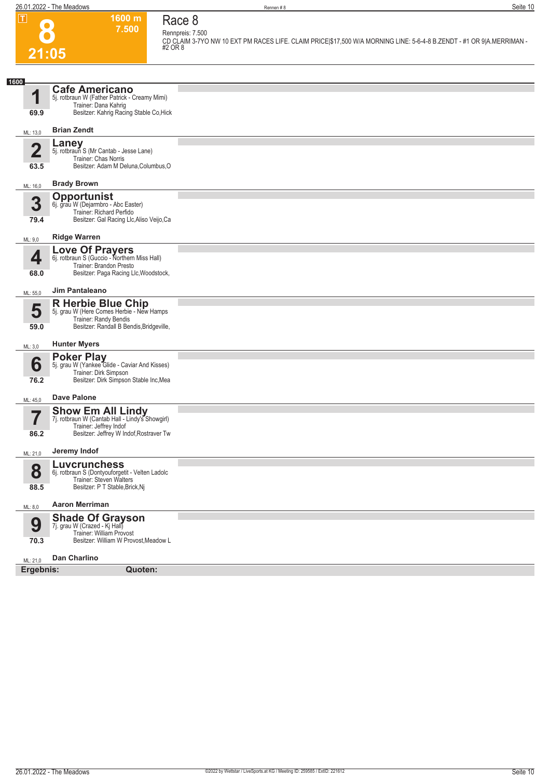**CD CLAIM 3-7YO NW 10 EXT PM RACES LIFE. CLAIM PRICE|\$17,500 W/A MORNING LINE: 5-6-4-8 B.ZENDT - #1 OR 9|A.MERRIMAN - #2 OR 8** 

## **Race 8 Rennpreis: 7.500**

**1600 m 7.500** 

**8 21:05**

| 1600                    |                                                                             |  |  |  |  |
|-------------------------|-----------------------------------------------------------------------------|--|--|--|--|
|                         | <b>Cafe Americano</b>                                                       |  |  |  |  |
| 1                       | 5j. rotbraun W (Father Patrick - Creamy Mimi)<br>Trainer: Dana Kahrig       |  |  |  |  |
| 69.9                    | Besitzer: Kahrig Racing Stable Co, Hick                                     |  |  |  |  |
| ML: 13,0                | <b>Brian Zendt</b>                                                          |  |  |  |  |
| $\overline{\mathbf{2}}$ | <b>Laney</b><br>5j. rotbraun S (Mr Cantab - Jesse Lane)                     |  |  |  |  |
|                         | Trainer: Chas Norris                                                        |  |  |  |  |
| 63.5                    | Besitzer: Adam M Deluna, Columbus, O                                        |  |  |  |  |
| ML: 16,0                | <b>Brady Brown</b>                                                          |  |  |  |  |
|                         | <b>Opportunist</b>                                                          |  |  |  |  |
| 3                       | 6j. grau W (Dejarmbro - Abc Easter)<br>Trainer: Richard Perfido             |  |  |  |  |
| 79.4                    | Besitzer: Gal Racing Llc, Aliso Veijo, Ca                                   |  |  |  |  |
| ML: 9,0                 | <b>Ridge Warren</b>                                                         |  |  |  |  |
|                         | <b>Love Of Prayers</b><br>6j. rotbraun S (Guccio - Northern Miss Hall)      |  |  |  |  |
| 4                       | Trainer: Brandon Presto                                                     |  |  |  |  |
| 68.0                    | Besitzer: Paga Racing Llc, Woodstock,                                       |  |  |  |  |
| ML: 55,0                | Jim Pantaleano                                                              |  |  |  |  |
|                         | <b>R Herbie Blue Chip</b>                                                   |  |  |  |  |
| 5                       | 5j. grau W (Here Comes Herbie - New Hamps<br>Trainer: Randy Bendis          |  |  |  |  |
| 59.0                    | Besitzer: Randall B Bendis, Bridgeville,                                    |  |  |  |  |
| ML: 3,0                 | <b>Hunter Myers</b>                                                         |  |  |  |  |
|                         | <b>Poker Play</b>                                                           |  |  |  |  |
| 6                       | 5j. grau W (Yankee Glide - Caviar And Kisses)<br>Trainer: Dirk Simpson      |  |  |  |  |
| 76.2                    | Besitzer: Dirk Simpson Stable Inc, Mea                                      |  |  |  |  |
| ML: 45,0                | <b>Dave Palone</b>                                                          |  |  |  |  |
|                         | <b>Show Em All Lindy</b><br>7j. rotbraun W (Cantab Hall - Lindy's Showgirl) |  |  |  |  |
| 7                       | Trainer: Jeffrey Indof                                                      |  |  |  |  |
| 86.2                    | Besitzer: Jeffrey W Indof, Rostraver Tw                                     |  |  |  |  |
| ML: 21,0                | Jeremy Indof                                                                |  |  |  |  |
|                         | <b>Luvcrunchess</b>                                                         |  |  |  |  |
| 8                       | 6j. rotbraun S (Dontyouforgetit - Velten Ladolc                             |  |  |  |  |
| 88.5                    | Trainer: Steven Walters<br>Besitzer: P T Stable, Brick, Nj                  |  |  |  |  |
| ML: 8,0                 | <b>Aaron Merriman</b>                                                       |  |  |  |  |
|                         |                                                                             |  |  |  |  |
| 9                       | Shade Of Grayson<br>7j. grau W (Crazed - Kj Hall)                           |  |  |  |  |
| 70.3                    | Trainer: William Provost<br>Besitzer: William W Provost.Meadow L            |  |  |  |  |
|                         | Dan Charlino                                                                |  |  |  |  |
| ML: 21,0                | Ergebnis:<br>Quoten:                                                        |  |  |  |  |
|                         |                                                                             |  |  |  |  |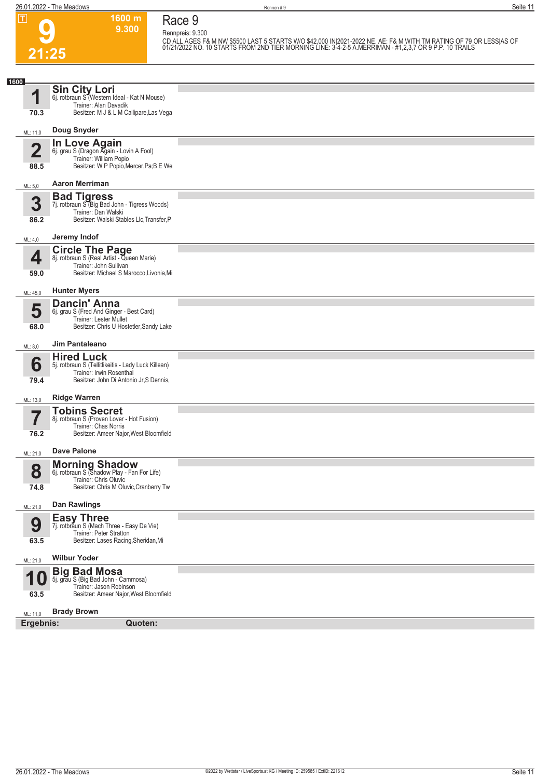**9**

**21:25**

**Race 9**

**Rennpreis: 9.300**

**1600 m 9.300** 

CD ALL AGES F& M NW \$5500 LAST 5 STARTS W/O \$42,000 IN|2021-2022 NE. AE: F& M WITH TM RATING OF 79 OR LESS|AS OF<br>01/21/2022 NO. 10 STARTS FROM 2ND TIER MORNING LINE: 3-4-2-5 A.MERRIMAN - #1,2,3,7 OR 9 P.P. 10 TRAILS

| 1600      |                                                                                                                                       |  |
|-----------|---------------------------------------------------------------------------------------------------------------------------------------|--|
| 1         | <b>Sin City Lori</b><br>6j. rotbraun S (Western Ideal - Kat N Mouse)<br>Trainer: Alan Davadik                                         |  |
| 70.3      | Besitzer: M J & L M Callipare, Las Vega                                                                                               |  |
| ML: 11,0  | Doug Snyder                                                                                                                           |  |
| n<br>88.5 | <b>In Love Again</b><br>6j. grau S (Dragon Again - Lovin A Fool)<br>Trainer: William Popio<br>Besitzer: W P Popio, Mercer, Pa; B E We |  |
|           | <b>Aaron Merriman</b>                                                                                                                 |  |
| ML: 5,0   | <b>Bad Tigress</b>                                                                                                                    |  |
| 3<br>86.2 | 7j. rotbraun S (Big Bad John - Tigress Woods)<br>Trainer: Dan Walski<br>Besitzer: Walski Stables Llc, Transfer, P                     |  |
| ML: 4,0   | Jeremy Indof                                                                                                                          |  |
|           | <b>Circle The Page</b><br>8j. rotbraun S (Real Artist - Queen Marie)                                                                  |  |
| 4<br>59.0 | Trainer: John Sullivan<br>Besitzer: Michael S Marocco, Livonia, Mi                                                                    |  |
|           | <b>Hunter Myers</b>                                                                                                                   |  |
| ML: 45,0  | <b>Dancin' Anna</b>                                                                                                                   |  |
| 5         | 6j. grau S (Fred And Ginger - Best Card)<br><b>Trainer: Lester Mullet</b>                                                             |  |
| 68.0      | Besitzer: Chris U Hostetler, Sandy Lake                                                                                               |  |
| ML: 8,0   | Jim Pantaleano                                                                                                                        |  |
| 6         | <b>Hired Luck</b><br>5j. rotbraun S (Tellitlikeitis - Lady Luck Killean)<br>Trainer: Irwin Rosenthal                                  |  |
| 79.4      | Besitzer: John Di Antonio Jr, S Dennis,                                                                                               |  |
| ML: 13,0  | <b>Ridge Warren</b>                                                                                                                   |  |
|           | <b>Tobins Secret</b><br>8j. rotbraun S (Proven Lover - Hot Fusion)                                                                    |  |
|           | Trainer: Chas Norris<br>Besitzer: Ameer Najor, West Bloomfield                                                                        |  |
| 76.2      |                                                                                                                                       |  |
| ML: 21,0  | <b>Dave Palone</b>                                                                                                                    |  |
| 8         | <b>Morning Shadow</b><br>6j. rotbraun S (Shadow Play - Fan For Life)                                                                  |  |
| 74.8      | Trainer: Chris Oluvic<br>Besitzer: Chris M Oluvic, Cranberry Tw                                                                       |  |
| ML: 21,0  | Dan Rawlings                                                                                                                          |  |
| 9         | <b>Easy Three</b><br>7j. rotbraun S (Mach Three - Easy De Vie)                                                                        |  |
| 63.5      | Trainer: Peter Stratton<br>Besitzer: Lases Racing, Sheridan, Mi                                                                       |  |
| ML: 21,0  | <b>Wilbur Yoder</b>                                                                                                                   |  |
| и         | <b>Big Bad Mosa</b><br>5j. grau S (Big Bad John - Cammosa)                                                                            |  |
| 63.5      | Trainer: Jason Robinson<br>Besitzer: Ameer Najor, West Bloomfield                                                                     |  |
| ML: 11,0  | <b>Brady Brown</b>                                                                                                                    |  |
| Ergebnis: | Quoten:                                                                                                                               |  |
|           |                                                                                                                                       |  |